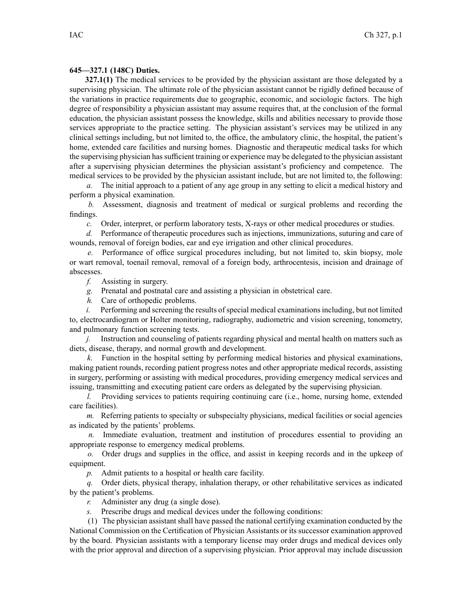## **645—327.1 (148C) Duties.**

**327.1(1)** The medical services to be provided by the physician assistant are those delegated by <sup>a</sup> supervising physician. The ultimate role of the physician assistant cannot be rigidly defined because of the variations in practice requirements due to geographic, economic, and sociologic factors. The high degree of responsibility <sup>a</sup> physician assistant may assume requires that, at the conclusion of the formal education, the physician assistant possess the knowledge, skills and abilities necessary to provide those services appropriate to the practice setting. The physician assistant's services may be utilized in any clinical settings including, but not limited to, the office, the ambulatory clinic, the hospital, the patient's home, extended care facilities and nursing homes. Diagnostic and therapeutic medical tasks for which the supervising physician hassufficient training or experience may be delegated to the physician assistant after <sup>a</sup> supervising physician determines the physician assistant's proficiency and competence. The medical services to be provided by the physician assistant include, but are not limited to, the following:

*a.* The initial approach to <sup>a</sup> patient of any age group in any setting to elicit <sup>a</sup> medical history and perform <sup>a</sup> physical examination.

*b.* Assessment, diagnosis and treatment of medical or surgical problems and recording the findings.

*c.* Order, interpret, or perform laboratory tests, X-rays or other medical procedures or studies.

*d.* Performance of therapeutic procedures such as injections, immunizations, suturing and care of wounds, removal of foreign bodies, ear and eye irrigation and other clinical procedures.

*e.* Performance of office surgical procedures including, but not limited to, skin biopsy, mole or wart removal, toenail removal, removal of <sup>a</sup> foreign body, arthrocentesis, incision and drainage of abscesses.

*f.* Assisting in surgery.

*g.* Prenatal and postnatal care and assisting <sup>a</sup> physician in obstetrical care.

*h.* Care of orthopedic problems.

 $i.$  Performing and screening the results of special medical examinations including, but not limited to, electrocardiogram or Holter monitoring, radiography, audiometric and vision screening, tonometry, and pulmonary function screening tests.

*j.* Instruction and counseling of patients regarding physical and mental health on matters such as diets, disease, therapy, and normal growth and development.

*k.* Function in the hospital setting by performing medical histories and physical examinations, making patient rounds, recording patient progress notes and other appropriate medical records, assisting in surgery, performing or assisting with medical procedures, providing emergency medical services and issuing, transmitting and executing patient care orders as delegated by the supervising physician.

*l.* Providing services to patients requiring continuing care (i.e., home, nursing home, extended care facilities).

*m.* Referring patients to specialty or subspecialty physicians, medical facilities or social agencies as indicated by the patients' problems.

Immediate evaluation, treatment and institution of procedures essential to providing an appropriate response to emergency medical problems.

*o.* Order drugs and supplies in the office, and assist in keeping records and in the upkeep of equipment.

*p.* Admit patients to <sup>a</sup> hospital or health care facility.

*q.* Order diets, physical therapy, inhalation therapy, or other rehabilitative services as indicated by the patient's problems.

- *r.* Administer any drug (a single dose).
- *s.* Prescribe drugs and medical devices under the following conditions:

(1) The physician assistant shall have passed the national certifying examination conducted by the National Commission on the Certification of Physician Assistants or its successor examination approved by the board. Physician assistants with <sup>a</sup> temporary license may order drugs and medical devices only with the prior approval and direction of <sup>a</sup> supervising physician. Prior approval may include discussion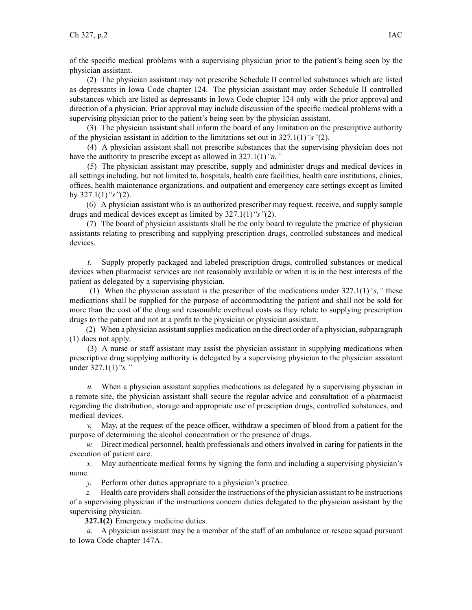of the specific medical problems with <sup>a</sup> supervising physician prior to the patient's being seen by the physician assistant.

(2) The physician assistant may not prescribe Schedule II controlled substances which are listed as depressants in Iowa Code chapter [124](https://www.legis.iowa.gov/docs/ico/chapter/124.pdf). The physician assistant may order Schedule II controlled substances which are listed as depressants in Iowa Code chapter [124](https://www.legis.iowa.gov/docs/ico/chapter/124.pdf) only with the prior approval and direction of <sup>a</sup> physician. Prior approval may include discussion of the specific medical problems with <sup>a</sup> supervising physician prior to the patient's being seen by the physician assistant.

(3) The physician assistant shall inform the board of any limitation on the prescriptive authority of the physician assistant in addition to the limitations set out in 327.1(1)*"s"*(2).

(4) A physician assistant shall not prescribe substances that the supervising physician does not have the authority to prescribe excep<sup>t</sup> as allowed in 327.1(1)*"n."*

(5) The physician assistant may prescribe, supply and administer drugs and medical devices in all settings including, but not limited to, hospitals, health care facilities, health care institutions, clinics, offices, health maintenance organizations, and outpatient and emergency care settings excep<sup>t</sup> as limited by 327.1(1)*"s"*(2).

(6) A physician assistant who is an authorized prescriber may request, receive, and supply sample drugs and medical devices excep<sup>t</sup> as limited by 327.1(1)*"s"*(2).

(7) The board of physician assistants shall be the only board to regulate the practice of physician assistants relating to prescribing and supplying prescription drugs, controlled substances and medical devices.

*t.* Supply properly packaged and labeled prescription drugs, controlled substances or medical devices when pharmacist services are not reasonably available or when it is in the best interests of the patient as delegated by <sup>a</sup> supervising physician.

(1) When the physician assistant is the prescriber of the medications under 327.1(1)*"s,"* these medications shall be supplied for the purpose of accommodating the patient and shall not be sold for more than the cost of the drug and reasonable overhead costs as they relate to supplying prescription drugs to the patient and not at <sup>a</sup> profit to the physician or physician assistant.

 $(2)$  When a physician assistant supplies medication on the direct order of a physician, subparagraph (1) does not apply.

(3) A nurse or staff assistant may assist the physician assistant in supplying medications when prescriptive drug supplying authority is delegated by <sup>a</sup> supervising physician to the physician assistant under 327.1(1)*"s."*

*u.* When <sup>a</sup> physician assistant supplies medications as delegated by <sup>a</sup> supervising physician in <sup>a</sup> remote site, the physician assistant shall secure the regular advice and consultation of <sup>a</sup> pharmacist regarding the distribution, storage and appropriate use of presciption drugs, controlled substances, and medical devices.

*v.* May, at the reques<sup>t</sup> of the peace officer, withdraw <sup>a</sup> specimen of blood from <sup>a</sup> patient for the purpose of determining the alcohol concentration or the presence of drugs.

*w.* Direct medical personnel, health professionals and others involved in caring for patients in the execution of patient care.

*x.* May authenticate medical forms by signing the form and including <sup>a</sup> supervising physician's name.

*y.* Perform other duties appropriate to <sup>a</sup> physician's practice.

*z*. Health care providers shall consider the instructions of the physician assistant to be instructions of <sup>a</sup> supervising physician if the instructions concern duties delegated to the physician assistant by the supervising physician.

**327.1(2)** Emergency medicine duties.

*a.* A physician assistant may be <sup>a</sup> member of the staff of an ambulance or rescue squad pursuan<sup>t</sup> to Iowa Code chapter [147A](https://www.legis.iowa.gov/docs/ico/chapter/147A.pdf).